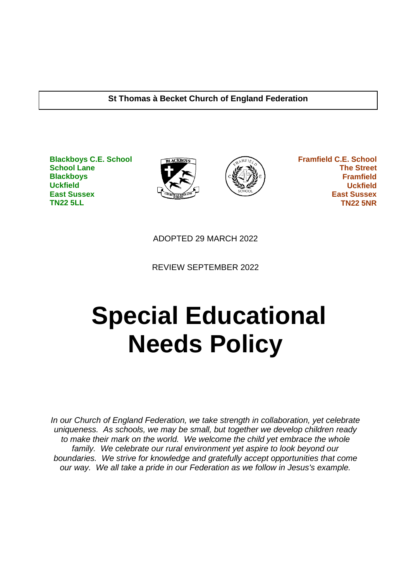#### **St Thomas à Becket Church of England Federation**

**Blackboys C.E. School School Lane Blackboys Uckfield East Sussex TN22 5LL**





 **Framfield C.E. School The Street Framfield Uckfield East Sussex TN22 5NR**

ADOPTED 29 MARCH 2022

REVIEW SEPTEMBER 2022

# **Special Educational Needs Policy**

*In our Church of England Federation, we take strength in collaboration, yet celebrate uniqueness. As schools, we may be small, but together we develop children ready to make their mark on the world. We welcome the child yet embrace the whole family. We celebrate our rural environment yet aspire to look beyond our boundaries. We strive for knowledge and gratefully accept opportunities that come our way. We all take a pride in our Federation as we follow in Jesus's example.*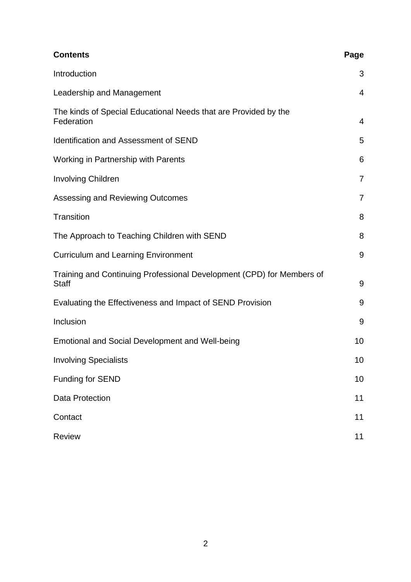| <b>Contents</b>                                                                       | Page           |
|---------------------------------------------------------------------------------------|----------------|
| Introduction                                                                          | 3              |
| Leadership and Management                                                             | $\overline{4}$ |
| The kinds of Special Educational Needs that are Provided by the<br>Federation         | 4              |
| <b>Identification and Assessment of SEND</b>                                          | 5              |
| Working in Partnership with Parents                                                   | 6              |
| <b>Involving Children</b>                                                             | $\overline{7}$ |
| Assessing and Reviewing Outcomes                                                      | $\overline{7}$ |
| <b>Transition</b>                                                                     | 8              |
| The Approach to Teaching Children with SEND                                           | 8              |
| <b>Curriculum and Learning Environment</b>                                            | 9              |
| Training and Continuing Professional Development (CPD) for Members of<br><b>Staff</b> | 9              |
| Evaluating the Effectiveness and Impact of SEND Provision                             | 9              |
| Inclusion                                                                             | 9              |
| Emotional and Social Development and Well-being                                       | 10             |
| <b>Involving Specialists</b>                                                          | 10             |
| Funding for SEND                                                                      | 10             |
| <b>Data Protection</b>                                                                | 11             |
| Contact                                                                               | 11             |
| <b>Review</b>                                                                         | 11             |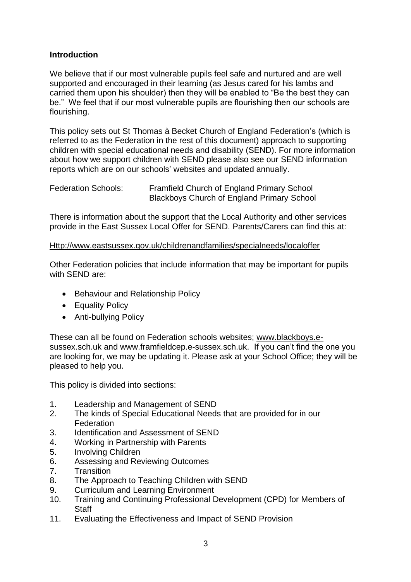#### **Introduction**

We believe that if our most vulnerable pupils feel safe and nurtured and are well supported and encouraged in their learning (as Jesus cared for his lambs and carried them upon his shoulder) then they will be enabled to "Be the best they can be." We feel that if our most vulnerable pupils are flourishing then our schools are flourishing.

This policy sets out St Thomas à Becket Church of England Federation's (which is referred to as the Federation in the rest of this document) approach to supporting children with special educational needs and disability (SEND). For more information about how we support children with SEND please also see our SEND information reports which are on our schools' websites and updated annually.

| <b>Federation Schools:</b> | Framfield Church of England Primary School        |
|----------------------------|---------------------------------------------------|
|                            | <b>Blackboys Church of England Primary School</b> |

There is information about the support that the Local Authority and other services provide in the East Sussex Local Offer for SEND. Parents/Carers can find this at:

#### [Http://www.eastsussex.gov.uk/childrenandfamilies/specialneeds/localoffer](http://www.eastsussex.gov.uk/childrenandfamilies/specialneeds/localoffer)

Other Federation policies that include information that may be important for pupils with SEND are:

- Behaviour and Relationship Policy
- Equality Policy
- Anti-bullying Policy

These can all be found on Federation schools websites; [www.blackboys.e](http://www.blackboys.e-sussex.sch.uk/)[sussex.sch.uk](http://www.blackboys.e-sussex.sch.uk/) and [www.framfieldcep.e-sussex.sch.uk.](http://www.framfieldcep.e-sussex.sch.uk/) If you can't find the one you are looking for, we may be updating it. Please ask at your School Office; they will be pleased to help you.

This policy is divided into sections:

- 1. Leadership and Management of SEND
- 2. The kinds of Special Educational Needs that are provided for in our **Federation**
- 3. Identification and Assessment of SEND
- 4. Working in Partnership with Parents
- 5. Involving Children
- 6. Assessing and Reviewing Outcomes
- 7. Transition
- 8. The Approach to Teaching Children with SEND
- 9. Curriculum and Learning Environment
- 10. Training and Continuing Professional Development (CPD) for Members of **Staff**
- 11. Evaluating the Effectiveness and Impact of SEND Provision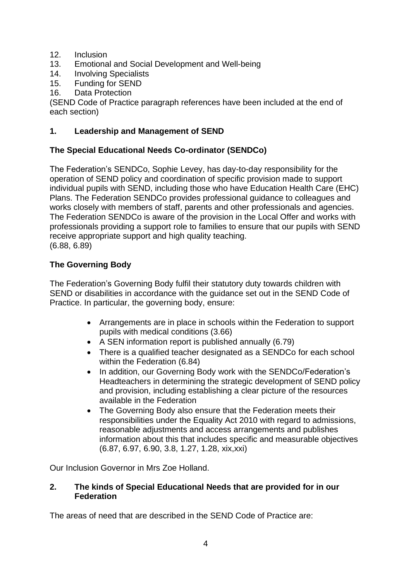- 12. Inclusion
- 13. Emotional and Social Development and Well-being
- 14. Involving Specialists
- 15. Funding for SEND
- 16. Data Protection

(SEND Code of Practice paragraph references have been included at the end of each section)

## **1. Leadership and Management of SEND**

## **The Special Educational Needs Co-ordinator (SENDCo)**

The Federation's SENDCo, Sophie Levey, has day-to-day responsibility for the operation of SEND policy and coordination of specific provision made to support individual pupils with SEND, including those who have Education Health Care (EHC) Plans. The Federation SENDCo provides professional guidance to colleagues and works closely with members of staff, parents and other professionals and agencies. The Federation SENDCo is aware of the provision in the Local Offer and works with professionals providing a support role to families to ensure that our pupils with SEND receive appropriate support and high quality teaching. (6.88, 6.89)

#### **The Governing Body**

The Federation's Governing Body fulfil their statutory duty towards children with SEND or disabilities in accordance with the guidance set out in the SEND Code of Practice. In particular, the governing body, ensure:

- Arrangements are in place in schools within the Federation to support pupils with medical conditions (3.66)
- A SEN information report is published annually (6.79)
- There is a qualified teacher designated as a SENDCo for each school within the Federation (6.84)
- In addition, our Governing Body work with the SENDCo/Federation's Headteachers in determining the strategic development of SEND policy and provision, including establishing a clear picture of the resources available in the Federation
- The Governing Body also ensure that the Federation meets their responsibilities under the Equality Act 2010 with regard to admissions, reasonable adjustments and access arrangements and publishes information about this that includes specific and measurable objectives (6.87, 6.97, 6.90, 3.8, 1.27, 1.28, xix,xxi)

Our Inclusion Governor in Mrs Zoe Holland.

#### **2. The kinds of Special Educational Needs that are provided for in our Federation**

The areas of need that are described in the SEND Code of Practice are: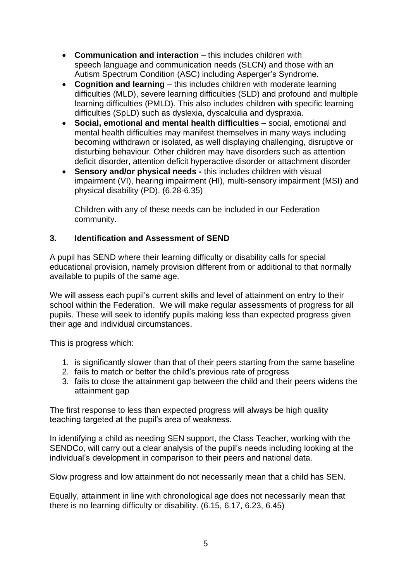- **Communication and interaction** this includes children with speech language and communication needs (SLCN) and those with an Autism Spectrum Condition (ASC) including Asperger's Syndrome.
- **Cognition and learning**  this includes children with moderate learning difficulties (MLD), severe learning difficulties (SLD) and profound and multiple learning difficulties (PMLD). This also includes children with specific learning difficulties (SpLD) such as dyslexia, dyscalculia and dyspraxia.
- **Social, emotional and mental health difficulties**  social, emotional and mental health difficulties may manifest themselves in many ways including becoming withdrawn or isolated, as well displaying challenging, disruptive or disturbing behaviour. Other children may have disorders such as attention deficit disorder, attention deficit hyperactive disorder or attachment disorder
- **Sensory and/or physical needs -** this includes children with visual impairment (VI), hearing impairment (HI), multi-sensory impairment (MSI) and physical disability (PD). (6.28-6.35)

Children with any of these needs can be included in our Federation community.

#### **3. Identification and Assessment of SEND**

A pupil has SEND where their learning difficulty or disability calls for special educational provision, namely provision different from or additional to that normally available to pupils of the same age.

We will assess each pupil's current skills and level of attainment on entry to their school within the Federation. We will make regular assessments of progress for all pupils. These will seek to identify pupils making less than expected progress given their age and individual circumstances.

This is progress which:

- 1. is significantly slower than that of their peers starting from the same baseline
- 2. fails to match or better the child's previous rate of progress
- 3. fails to close the attainment gap between the child and their peers widens the attainment gap

The first response to less than expected progress will always be high quality teaching targeted at the pupil's area of weakness.

In identifying a child as needing SEN support, the Class Teacher, working with the SENDCo, will carry out a clear analysis of the pupil's needs including looking at the individual's development in comparison to their peers and national data.

Slow progress and low attainment do not necessarily mean that a child has SEN.

Equally, attainment in line with chronological age does not necessarily mean that there is no learning difficulty or disability. (6.15, 6.17, 6.23, 6.45)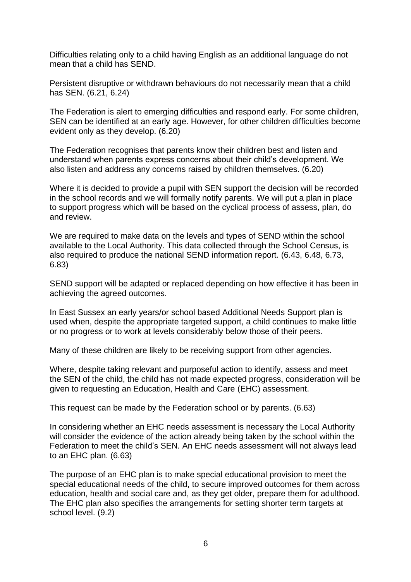Difficulties relating only to a child having English as an additional language do not mean that a child has SEND.

Persistent disruptive or withdrawn behaviours do not necessarily mean that a child has SEN. (6.21, 6.24)

The Federation is alert to emerging difficulties and respond early. For some children, SEN can be identified at an early age. However, for other children difficulties become evident only as they develop. (6.20)

The Federation recognises that parents know their children best and listen and understand when parents express concerns about their child's development. We also listen and address any concerns raised by children themselves. (6.20)

Where it is decided to provide a pupil with SEN support the decision will be recorded in the school records and we will formally notify parents. We will put a plan in place to support progress which will be based on the cyclical process of assess, plan, do and review.

We are required to make data on the levels and types of SEND within the school available to the Local Authority. This data collected through the School Census, is also required to produce the national SEND information report. (6.43, 6.48, 6.73, 6.83)

SEND support will be adapted or replaced depending on how effective it has been in achieving the agreed outcomes.

In East Sussex an early years/or school based Additional Needs Support plan is used when, despite the appropriate targeted support, a child continues to make little or no progress or to work at levels considerably below those of their peers.

Many of these children are likely to be receiving support from other agencies.

Where, despite taking relevant and purposeful action to identify, assess and meet the SEN of the child, the child has not made expected progress, consideration will be given to requesting an Education, Health and Care (EHC) assessment.

This request can be made by the Federation school or by parents. (6.63)

In considering whether an EHC needs assessment is necessary the Local Authority will consider the evidence of the action already being taken by the school within the Federation to meet the child's SEN. An EHC needs assessment will not always lead to an EHC plan. (6.63)

The purpose of an EHC plan is to make special educational provision to meet the special educational needs of the child, to secure improved outcomes for them across education, health and social care and, as they get older, prepare them for adulthood. The EHC plan also specifies the arrangements for setting shorter term targets at school level. (9.2)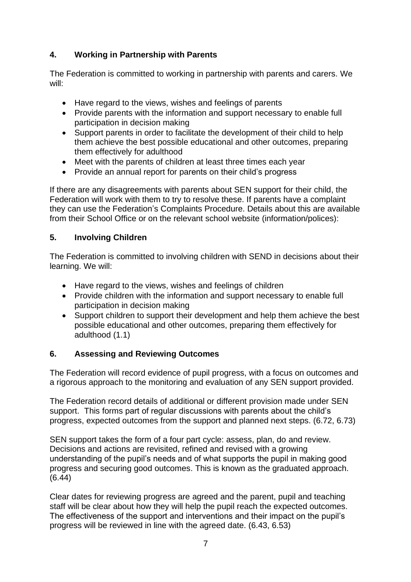# **4. Working in Partnership with Parents**

The Federation is committed to working in partnership with parents and carers. We will:

- Have regard to the views, wishes and feelings of parents
- Provide parents with the information and support necessary to enable full participation in decision making
- Support parents in order to facilitate the development of their child to help them achieve the best possible educational and other outcomes, preparing them effectively for adulthood
- Meet with the parents of children at least three times each year
- Provide an annual report for parents on their child's progress

If there are any disagreements with parents about SEN support for their child, the Federation will work with them to try to resolve these. If parents have a complaint they can use the Federation's Complaints Procedure. Details about this are available from their School Office or on the relevant school website (information/polices):

# **5. Involving Children**

The Federation is committed to involving children with SEND in decisions about their learning. We will:

- Have regard to the views, wishes and feelings of children
- Provide children with the information and support necessary to enable full participation in decision making
- Support children to support their development and help them achieve the best possible educational and other outcomes, preparing them effectively for adulthood (1.1)

# **6. Assessing and Reviewing Outcomes**

The Federation will record evidence of pupil progress, with a focus on outcomes and a rigorous approach to the monitoring and evaluation of any SEN support provided.

The Federation record details of additional or different provision made under SEN support. This forms part of regular discussions with parents about the child's progress, expected outcomes from the support and planned next steps. (6.72, 6.73)

SEN support takes the form of a four part cycle: assess, plan, do and review. Decisions and actions are revisited, refined and revised with a growing understanding of the pupil's needs and of what supports the pupil in making good progress and securing good outcomes. This is known as the graduated approach. (6.44)

Clear dates for reviewing progress are agreed and the parent, pupil and teaching staff will be clear about how they will help the pupil reach the expected outcomes. The effectiveness of the support and interventions and their impact on the pupil's progress will be reviewed in line with the agreed date. (6.43, 6.53)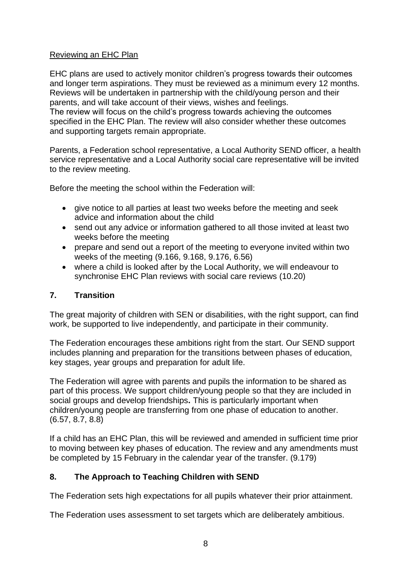## Reviewing an EHC Plan

EHC plans are used to actively monitor children's progress towards their outcomes and longer term aspirations. They must be reviewed as a minimum every 12 months. Reviews will be undertaken in partnership with the child/young person and their parents, and will take account of their views, wishes and feelings.

The review will focus on the child's progress towards achieving the outcomes specified in the EHC Plan. The review will also consider whether these outcomes and supporting targets remain appropriate.

Parents, a Federation school representative, a Local Authority SEND officer, a health service representative and a Local Authority social care representative will be invited to the review meeting.

Before the meeting the school within the Federation will:

- give notice to all parties at least two weeks before the meeting and seek advice and information about the child
- send out any advice or information gathered to all those invited at least two weeks before the meeting
- prepare and send out a report of the meeting to everyone invited within two weeks of the meeting (9.166, 9.168, 9.176, 6.56)
- where a child is looked after by the Local Authority, we will endeavour to synchronise EHC Plan reviews with social care reviews (10.20)

#### **7. Transition**

The great majority of children with SEN or disabilities, with the right support, can find work, be supported to live independently, and participate in their community.

The Federation encourages these ambitions right from the start. Our SEND support includes planning and preparation for the transitions between phases of education, key stages, year groups and preparation for adult life.

The Federation will agree with parents and pupils the information to be shared as part of this process. We support children/young people so that they are included in social groups and develop friendships**.** This is particularly important when children/young people are transferring from one phase of education to another. (6.57, 8.7, 8.8)

If a child has an EHC Plan, this will be reviewed and amended in sufficient time prior to moving between key phases of education. The review and any amendments must be completed by 15 February in the calendar year of the transfer. (9.179)

#### **8. The Approach to Teaching Children with SEND**

The Federation sets high expectations for all pupils whatever their prior attainment.

The Federation uses assessment to set targets which are deliberately ambitious.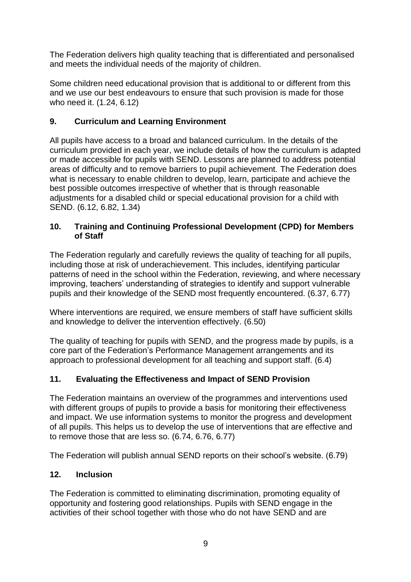The Federation delivers high quality teaching that is differentiated and personalised and meets the individual needs of the majority of children.

Some children need educational provision that is additional to or different from this and we use our best endeavours to ensure that such provision is made for those who need it. (1.24, 6.12)

## **9. Curriculum and Learning Environment**

All pupils have access to a broad and balanced curriculum. In the details of the curriculum provided in each year, we include details of how the curriculum is adapted or made accessible for pupils with SEND. Lessons are planned to address potential areas of difficulty and to remove barriers to pupil achievement. The Federation does what is necessary to enable children to develop, learn, participate and achieve the best possible outcomes irrespective of whether that is through reasonable adjustments for a disabled child or special educational provision for a child with SEND. (6.12, 6.82, 1.34)

#### **10. Training and Continuing Professional Development (CPD) for Members of Staff**

The Federation regularly and carefully reviews the quality of teaching for all pupils, including those at risk of underachievement. This includes, identifying particular patterns of need in the school within the Federation, reviewing, and where necessary improving, teachers' understanding of strategies to identify and support vulnerable pupils and their knowledge of the SEND most frequently encountered. (6.37, 6.77)

Where interventions are required, we ensure members of staff have sufficient skills and knowledge to deliver the intervention effectively. (6.50)

The quality of teaching for pupils with SEND, and the progress made by pupils, is a core part of the Federation's Performance Management arrangements and its approach to professional development for all teaching and support staff. (6.4)

# **11. Evaluating the Effectiveness and Impact of SEND Provision**

The Federation maintains an overview of the programmes and interventions used with different groups of pupils to provide a basis for monitoring their effectiveness and impact. We use information systems to monitor the progress and development of all pupils. This helps us to develop the use of interventions that are effective and to remove those that are less so. (6.74, 6.76, 6.77)

The Federation will publish annual SEND reports on their school's website. (6.79)

#### **12. Inclusion**

The Federation is committed to eliminating discrimination, promoting equality of opportunity and fostering good relationships. Pupils with SEND engage in the activities of their school together with those who do not have SEND and are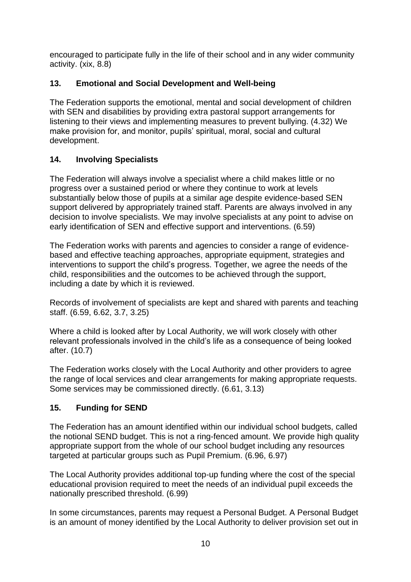encouraged to participate fully in the life of their school and in any wider community activity. (xix, 8.8)

# **13. Emotional and Social Development and Well-being**

The Federation supports the emotional, mental and social development of children with SEN and disabilities by providing extra pastoral support arrangements for listening to their views and implementing measures to prevent bullying. (4.32) We make provision for, and monitor, pupils' spiritual, moral, social and cultural development.

# **14. Involving Specialists**

The Federation will always involve a specialist where a child makes little or no progress over a sustained period or where they continue to work at levels substantially below those of pupils at a similar age despite evidence-based SEN support delivered by appropriately trained staff. Parents are always involved in any decision to involve specialists. We may involve specialists at any point to advise on early identification of SEN and effective support and interventions. (6.59)

The Federation works with parents and agencies to consider a range of evidencebased and effective teaching approaches, appropriate equipment, strategies and interventions to support the child's progress. Together, we agree the needs of the child, responsibilities and the outcomes to be achieved through the support, including a date by which it is reviewed.

Records of involvement of specialists are kept and shared with parents and teaching staff. (6.59, 6.62, 3.7, 3.25)

Where a child is looked after by Local Authority, we will work closely with other relevant professionals involved in the child's life as a consequence of being looked after. (10.7)

The Federation works closely with the Local Authority and other providers to agree the range of local services and clear arrangements for making appropriate requests. Some services may be commissioned directly. (6.61, 3.13)

# **15. Funding for SEND**

The Federation has an amount identified within our individual school budgets, called the notional SEND budget. This is not a ring-fenced amount. We provide high quality appropriate support from the whole of our school budget including any resources targeted at particular groups such as Pupil Premium. (6.96, 6.97)

The Local Authority provides additional top-up funding where the cost of the special educational provision required to meet the needs of an individual pupil exceeds the nationally prescribed threshold. (6.99)

In some circumstances, parents may request a Personal Budget. A Personal Budget is an amount of money identified by the Local Authority to deliver provision set out in